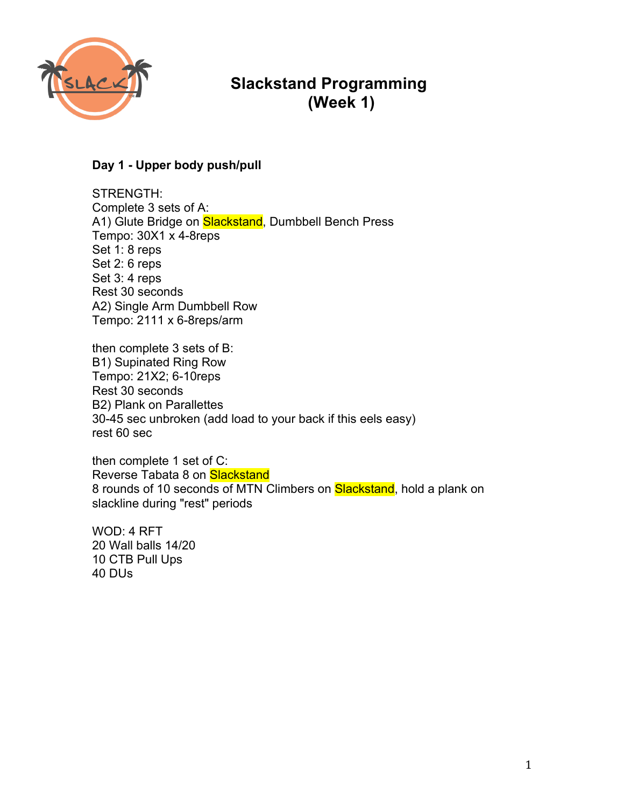

# **Slackstand Programming (Week 1)**

### **Day 1 - Upper body push/pull**

STRENGTH: Complete 3 sets of A: A1) Glute Bridge on **Slackstand**, Dumbbell Bench Press Tempo: 30X1 x 4-8reps Set 1: 8 reps Set 2: 6 reps Set 3: 4 reps Rest 30 seconds A2) Single Arm Dumbbell Row Tempo: 2111 x 6-8reps/arm

then complete 3 sets of B: B1) Supinated Ring Row Tempo: 21X2; 6-10reps Rest 30 seconds B2) Plank on Parallettes 30-45 sec unbroken (add load to your back if this eels easy) rest 60 sec

then complete 1 set of C: Reverse Tabata 8 on Slackstand 8 rounds of 10 seconds of MTN Climbers on **Slackstand**, hold a plank on slackline during "rest" periods

WOD: 4 RFT 20 Wall balls 14/20 10 CTB Pull Ups 40 DUs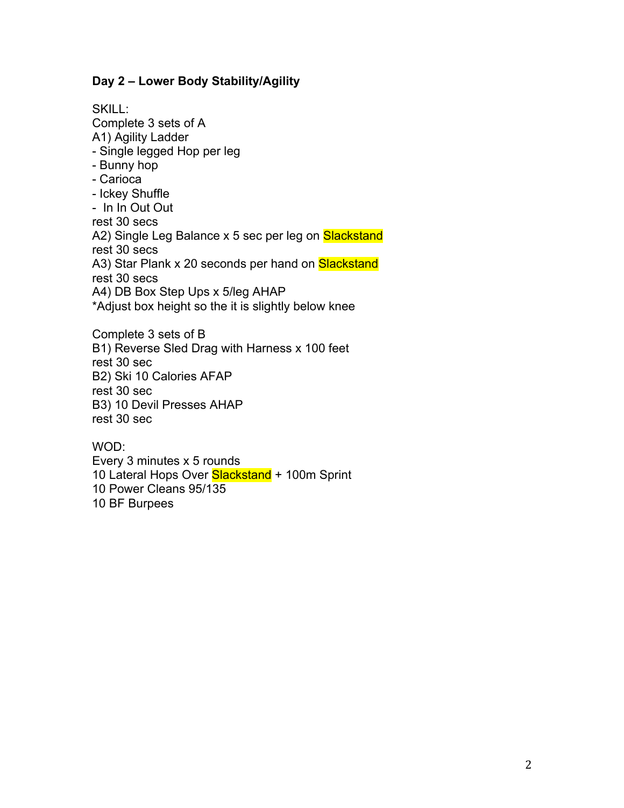### **Day 2 – Lower Body Stability/Agility**

SKILL: Complete 3 sets of A A1) Agility Ladder - Single legged Hop per leg - Bunny hop - Carioca - Ickey Shuffle - In In Out Out rest 30 secs A2) Single Leg Balance x 5 sec per leg on Slackstand rest 30 secs A3) Star Plank x 20 seconds per hand on Slackstand rest 30 secs A4) DB Box Step Ups x 5/leg AHAP \*Adjust box height so the it is slightly below knee

Complete 3 sets of B B1) Reverse Sled Drag with Harness x 100 feet rest 30 sec B2) Ski 10 Calories AFAP rest 30 sec B3) 10 Devil Presses AHAP rest 30 sec

WOD: Every 3 minutes x 5 rounds 10 Lateral Hops Over Slackstand + 100m Sprint 10 Power Cleans 95/135 10 BF Burpees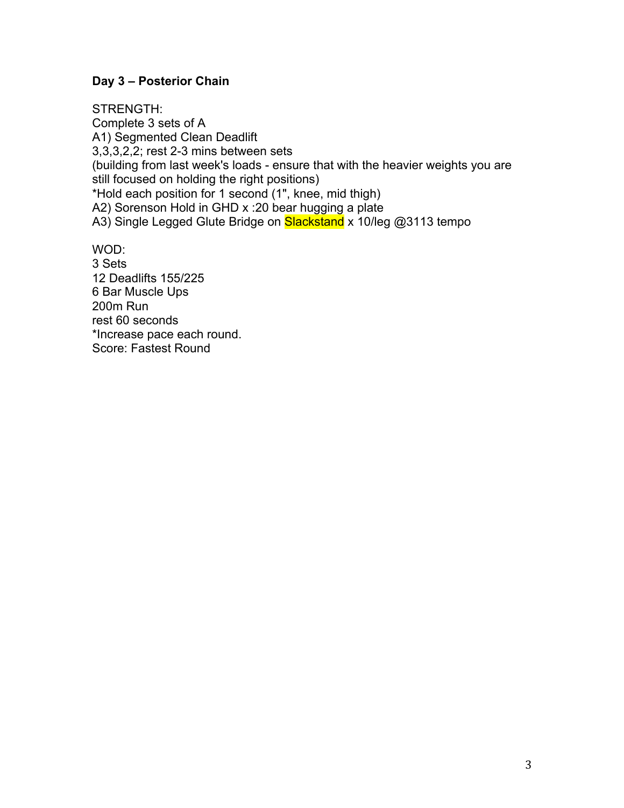## **Day 3 – Posterior Chain**

6 Bar Muscle Ups

\*Increase pace each round. Score: Fastest Round

200m Run rest 60 seconds

STRENGTH: Complete 3 sets of A A1) Segmented Clean Deadlift 3,3,3,2,2; rest 2-3 mins between sets (building from last week's loads - ensure that with the heavier weights you are still focused on holding the right positions) \*Hold each position for 1 second (1", knee, mid thigh) A2) Sorenson Hold in GHD x :20 bear hugging a plate A3) Single Legged Glute Bridge on Slackstand x 10/leg @3113 tempo WOD: 3 Sets 12 Deadlifts 155/225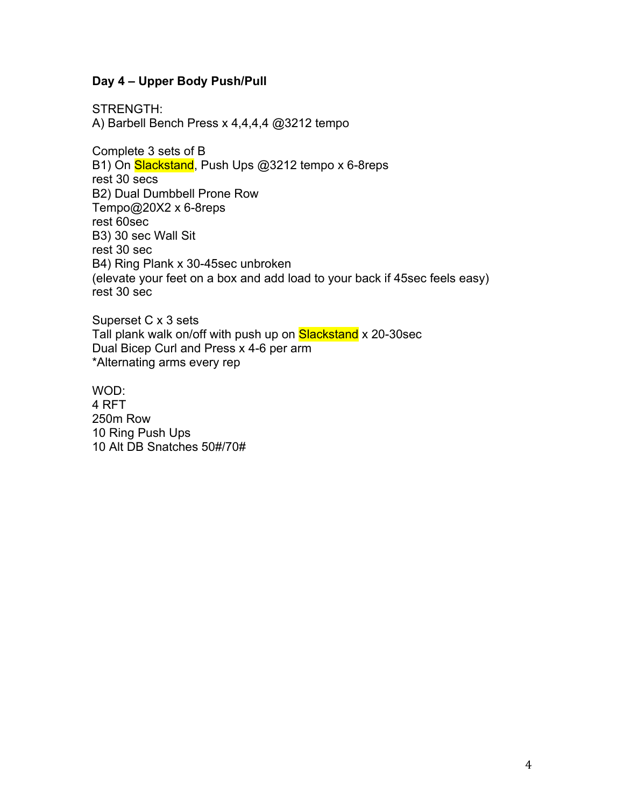#### **Day 4 – Upper Body Push/Pull**

STRENGTH: A) Barbell Bench Press x 4,4,4,4 @3212 tempo

Complete 3 sets of B B1) On Slackstand, Push Ups @3212 tempo x 6-8reps rest 30 secs B2) Dual Dumbbell Prone Row Tempo@20X2 x 6-8reps rest 60sec B3) 30 sec Wall Sit rest 30 sec B4) Ring Plank x 30-45sec unbroken (elevate your feet on a box and add load to your back if 45sec feels easy) rest 30 sec

Superset C x 3 sets Tall plank walk on/off with push up on **Slackstand** x 20-30sec Dual Bicep Curl and Press x 4-6 per arm \*Alternating arms every rep

WOD: 4 RFT 250m Row 10 Ring Push Ups 10 Alt DB Snatches 50#/70#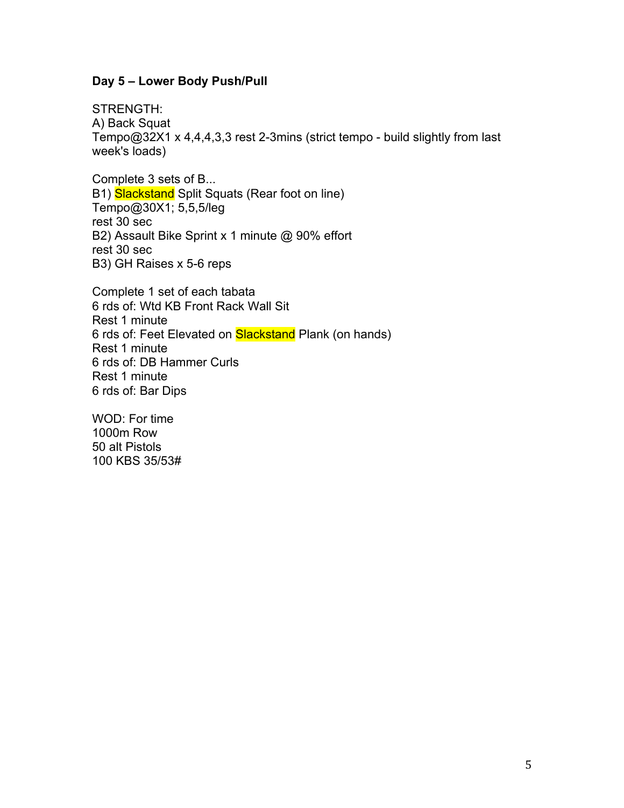#### **Day 5 – Lower Body Push/Pull**

STRENGTH: A) Back Squat Tempo@32X1 x 4,4,4,3,3 rest 2-3mins (strict tempo - build slightly from last week's loads)

Complete 3 sets of B... B1) Slackstand Split Squats (Rear foot on line) Tempo@30X1; 5,5,5/leg rest 30 sec B2) Assault Bike Sprint x 1 minute @ 90% effort rest 30 sec B3) GH Raises x 5-6 reps

Complete 1 set of each tabata 6 rds of: Wtd KB Front Rack Wall Sit Rest 1 minute 6 rds of: Feet Elevated on **Slackstand** Plank (on hands) Rest 1 minute 6 rds of: DB Hammer Curls Rest 1 minute 6 rds of: Bar Dips

WOD: For time 1000m Row 50 alt Pistols 100 KBS 35/53#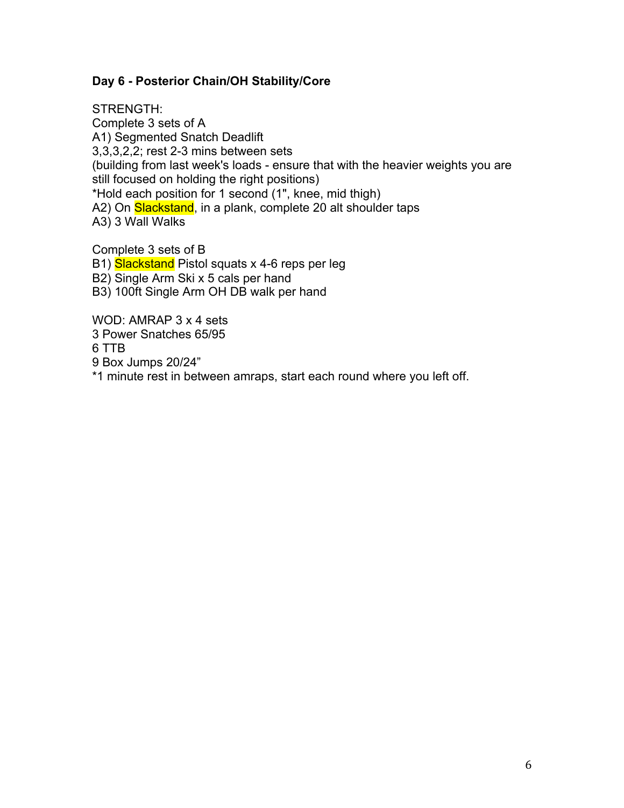### **Day 6 - Posterior Chain/OH Stability/Core**

STRENGTH: Complete 3 sets of A A1) Segmented Snatch Deadlift 3,3,3,2,2; rest 2-3 mins between sets (building from last week's loads - ensure that with the heavier weights you are still focused on holding the right positions) \*Hold each position for 1 second (1", knee, mid thigh) A2) On Slackstand, in a plank, complete 20 alt shoulder taps A3) 3 Wall Walks

Complete 3 sets of B

B1) Slackstand Pistol squats x 4-6 reps per leg

B2) Single Arm Ski x 5 cals per hand

B3) 100ft Single Arm OH DB walk per hand

WOD: AMRAP 3 x 4 sets

3 Power Snatches 65/95

6 TTB

9 Box Jumps 20/24"

\*1 minute rest in between amraps, start each round where you left off.